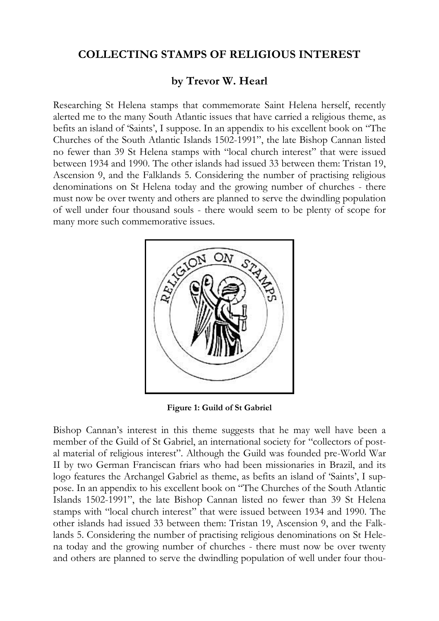## **COLLECTING STAMPS OF RELIGIOUS INTEREST**

## **by Trevor W. Hearl**

Researching St Helena stamps that commemorate Saint Helena herself, recently alerted me to the many South Atlantic issues that have carried a religious theme, as befits an island of 'Saints', I suppose. In an appendix to his excellent book on "The Churches of the South Atlantic Islands 1502-1991", the late Bishop Cannan listed no fewer than 39 St Helena stamps with "local church interest" that were issued between 1934 and 1990. The other islands had issued 33 between them: Tristan 19, Ascension 9, and the Falklands 5. Considering the number of practising religious denominations on St Helena today and the growing number of churches - there must now be over twenty and others are planned to serve the dwindling population of well under four thousand souls - there would seem to be plenty of scope for many more such commemorative issues.



**Figure 1: Guild of St Gabriel**

Bishop Cannan's interest in this theme suggests that he may well have been a member of the Guild of St Gabriel, an international society for "collectors of postal material of religious interest". Although the Guild was founded pre-World War II by two German Franciscan friars who had been missionaries in Brazil, and its logo features the Archangel Gabriel as theme, as befits an island of 'Saints', I suppose. In an appendix to his excellent book on "The Churches of the South Atlantic Islands 1502-1991", the late Bishop Cannan listed no fewer than 39 St Helena stamps with "local church interest" that were issued between 1934 and 1990. The other islands had issued 33 between them: Tristan 19, Ascension 9, and the Falklands 5. Considering the number of practising religious denominations on St Helena today and the growing number of churches - there must now be over twenty and others are planned to serve the dwindling population of well under four thou